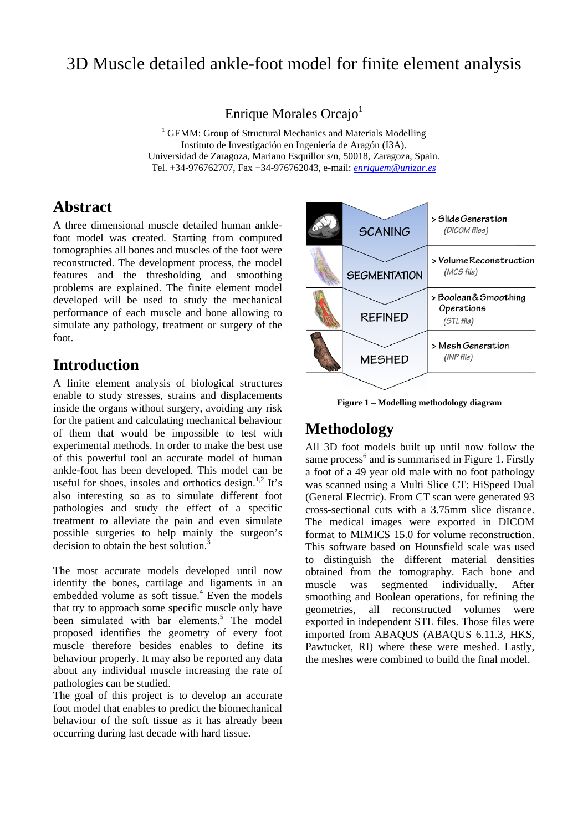# 3D Muscle detailed ankle-foot model for finite element analysis

Enrique Morales Orcajo<sup>1</sup>

<sup>1</sup> GEMM: Group of Structural Mechanics and Materials Modelling Instituto de Investigación en Ingeniería de Aragón (I3A). Universidad de Zaragoza, Mariano Esquillor s/n, 50018, Zaragoza, Spain. Tel. +34-976762707, Fax +34-976762043, e-mail: *enriquem@unizar.es*

### **Abstract**

A three dimensional muscle detailed human anklefoot model was created. Starting from computed tomographies all bones and muscles of the foot were reconstructed. The development process, the model features and the thresholding and smoothing problems are explained. The finite element model developed will be used to study the mechanical performance of each muscle and bone allowing to simulate any pathology, treatment or surgery of the foot.

### **Introduction**

A finite element analysis of biological structures enable to study stresses, strains and displacements inside the organs without surgery, avoiding any risk for the patient and calculating mechanical behaviour of them that would be impossible to test with experimental methods. In order to make the best use of this powerful tool an accurate model of human ankle-foot has been developed. This model can be useful for shoes, insoles and orthotics design.<sup>1,2</sup> It's also interesting so as to simulate different foot pathologies and study the effect of a specific treatment to alleviate the pain and even simulate possible surgeries to help mainly the surgeon's decision to obtain the best solution.<sup>3</sup>

The most accurate models developed until now identify the bones, cartilage and ligaments in an embedded volume as soft tissue.<sup>4</sup> Even the models that try to approach some specific muscle only have been simulated with bar elements.<sup>5</sup> The model proposed identifies the geometry of every foot muscle therefore besides enables to define its behaviour properly. It may also be reported any data about any individual muscle increasing the rate of pathologies can be studied.

The goal of this project is to develop an accurate foot model that enables to predict the biomechanical behaviour of the soft tissue as it has already been occurring during last decade with hard tissue.



**Figure 1 – Modelling methodology diagram** 

# **Methodology**

All 3D foot models built up until now follow the same process<sup>6</sup> and is summarised in Figure 1. Firstly a foot of a 49 year old male with no foot pathology was scanned using a Multi Slice CT: HiSpeed Dual (General Electric). From CT scan were generated 93 cross-sectional cuts with a 3.75mm slice distance. The medical images were exported in DICOM format to MIMICS 15.0 for volume reconstruction. This software based on Hounsfield scale was used to distinguish the different material densities obtained from the tomography. Each bone and muscle was segmented individually. After smoothing and Boolean operations, for refining the geometries, all reconstructed volumes were exported in independent STL files. Those files were imported from ABAQUS (ABAQUS 6.11.3, HKS, Pawtucket, RI) where these were meshed. Lastly, the meshes were combined to build the final model.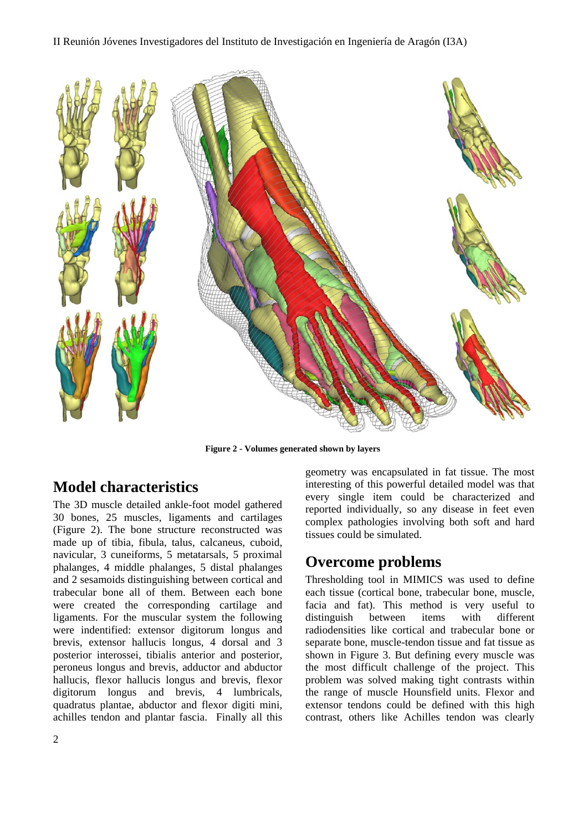#### II Reunión Jóvenes Investigadores del Instituto de Investigación en Ingeniería de Aragón (I3A)



**Figure 2 - Volumes generated shown by layers** 

## **Model characteristics**

The 3D muscle detailed ankle-foot model gathered 30 bones, 25 muscles, ligaments and cartilages (Figure 2). The bone structure reconstructed was made up of tibia, fibula, talus, calcaneus, cuboid, navicular, 3 cuneiforms, 5 metatarsals, 5 proximal phalanges, 4 middle phalanges, 5 distal phalanges and 2 sesamoids distinguishing between cortical and trabecular bone all of them. Between each bone were created the corresponding cartilage and ligaments. For the muscular system the following were indentified: extensor digitorum longus and brevis, extensor hallucis longus, 4 dorsal and 3 posterior interossei, tibialis anterior and posterior, peroneus longus and brevis, adductor and abductor hallucis, flexor hallucis longus and brevis, flexor digitorum longus and brevis, 4 lumbricals, quadratus plantae, abductor and flexor digiti mini, achilles tendon and plantar fascia. Finally all this

2

geometry was encapsulated in fat tissue. The most interesting of this powerful detailed model was that every single item could be characterized and reported individually, so any disease in feet even complex pathologies involving both soft and hard tissues could be simulated.

## **Overcome problems**

Thresholding tool in MIMICS was used to define each tissue (cortical bone, trabecular bone, muscle, facia and fat). This method is very useful to distinguish between items with different radiodensities like cortical and trabecular bone or separate bone, muscle-tendon tissue and fat tissue as shown in Figure 3. But defining every muscle was the most difficult challenge of the project. This problem was solved making tight contrasts within the range of muscle Hounsfield units. Flexor and extensor tendons could be defined with this high contrast, others like Achilles tendon was clearly